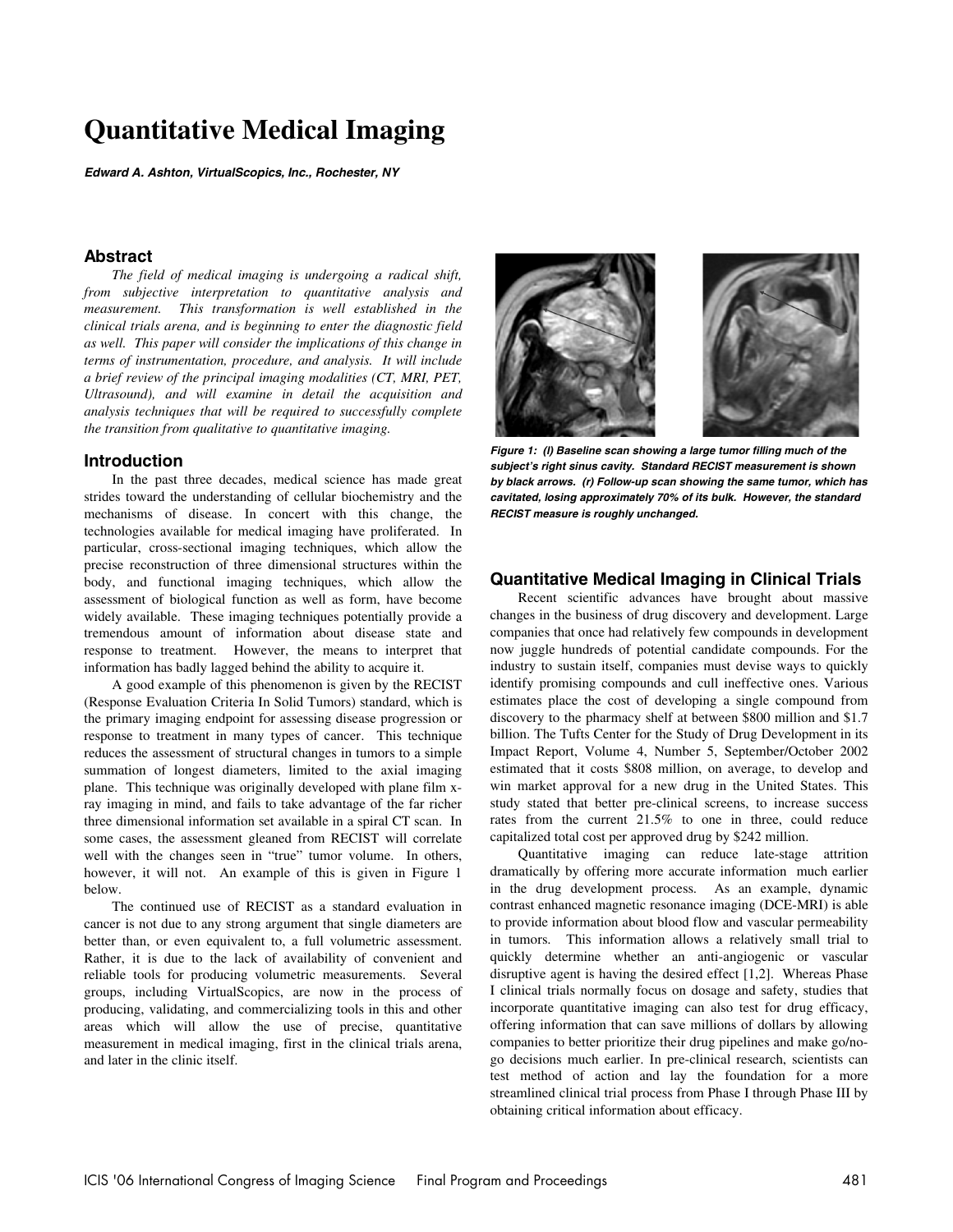# **Quantitative Medical Imaging**

**Edward A. Ashton, VirtualScopics, Inc., Rochester, NY** 

# **Abstract**

*The field of medical imaging is undergoing a radical shift, from subjective interpretation to quantitative analysis and measurement. This transformation is well established in the clinical trials arena, and is beginning to enter the diagnostic field as well. This paper will consider the implications of this change in terms of instrumentation, procedure, and analysis. It will include a brief review of the principal imaging modalities (CT, MRI, PET, Ultrasound), and will examine in detail the acquisition and analysis techniques that will be required to successfully complete the transition from qualitative to quantitative imaging.* 

# **Introduction**

In the past three decades, medical science has made great strides toward the understanding of cellular biochemistry and the mechanisms of disease. In concert with this change, the technologies available for medical imaging have proliferated. In particular, cross-sectional imaging techniques, which allow the precise reconstruction of three dimensional structures within the body, and functional imaging techniques, which allow the assessment of biological function as well as form, have become widely available. These imaging techniques potentially provide a tremendous amount of information about disease state and response to treatment. However, the means to interpret that information has badly lagged behind the ability to acquire it.

A good example of this phenomenon is given by the RECIST (Response Evaluation Criteria In Solid Tumors) standard, which is the primary imaging endpoint for assessing disease progression or response to treatment in many types of cancer. This technique reduces the assessment of structural changes in tumors to a simple summation of longest diameters, limited to the axial imaging plane. This technique was originally developed with plane film xray imaging in mind, and fails to take advantage of the far richer three dimensional information set available in a spiral CT scan. In some cases, the assessment gleaned from RECIST will correlate well with the changes seen in "true" tumor volume. In others, however, it will not. An example of this is given in Figure 1 below.

The continued use of RECIST as a standard evaluation in cancer is not due to any strong argument that single diameters are better than, or even equivalent to, a full volumetric assessment. Rather, it is due to the lack of availability of convenient and reliable tools for producing volumetric measurements. Several groups, including VirtualScopics, are now in the process of producing, validating, and commercializing tools in this and other areas which will allow the use of precise, quantitative measurement in medical imaging, first in the clinical trials arena, and later in the clinic itself.



**Figure 1: (l) Baseline scan showing a large tumor filling much of the subject's right sinus cavity. Standard RECIST measurement is shown by black arrows. (r) Follow-up scan showing the same tumor, which has cavitated, losing approximately 70% of its bulk. However, the standard RECIST measure is roughly unchanged.**

# **Quantitative Medical Imaging in Clinical Trials**

Recent scientific advances have brought about massive changes in the business of drug discovery and development. Large companies that once had relatively few compounds in development now juggle hundreds of potential candidate compounds. For the industry to sustain itself, companies must devise ways to quickly identify promising compounds and cull ineffective ones. Various estimates place the cost of developing a single compound from discovery to the pharmacy shelf at between \$800 million and \$1.7 billion. The Tufts Center for the Study of Drug Development in its Impact Report, Volume 4, Number 5, September/October 2002 estimated that it costs \$808 million, on average, to develop and win market approval for a new drug in the United States. This study stated that better pre-clinical screens, to increase success rates from the current 21.5% to one in three, could reduce capitalized total cost per approved drug by \$242 million.

Quantitative imaging can reduce late-stage attrition dramatically by offering more accurate information much earlier in the drug development process. As an example, dynamic contrast enhanced magnetic resonance imaging (DCE-MRI) is able to provide information about blood flow and vascular permeability in tumors. This information allows a relatively small trial to quickly determine whether an anti-angiogenic or vascular disruptive agent is having the desired effect [1,2]. Whereas Phase I clinical trials normally focus on dosage and safety, studies that incorporate quantitative imaging can also test for drug efficacy, offering information that can save millions of dollars by allowing companies to better prioritize their drug pipelines and make go/nogo decisions much earlier. In pre-clinical research, scientists can test method of action and lay the foundation for a more streamlined clinical trial process from Phase I through Phase III by obtaining critical information about efficacy.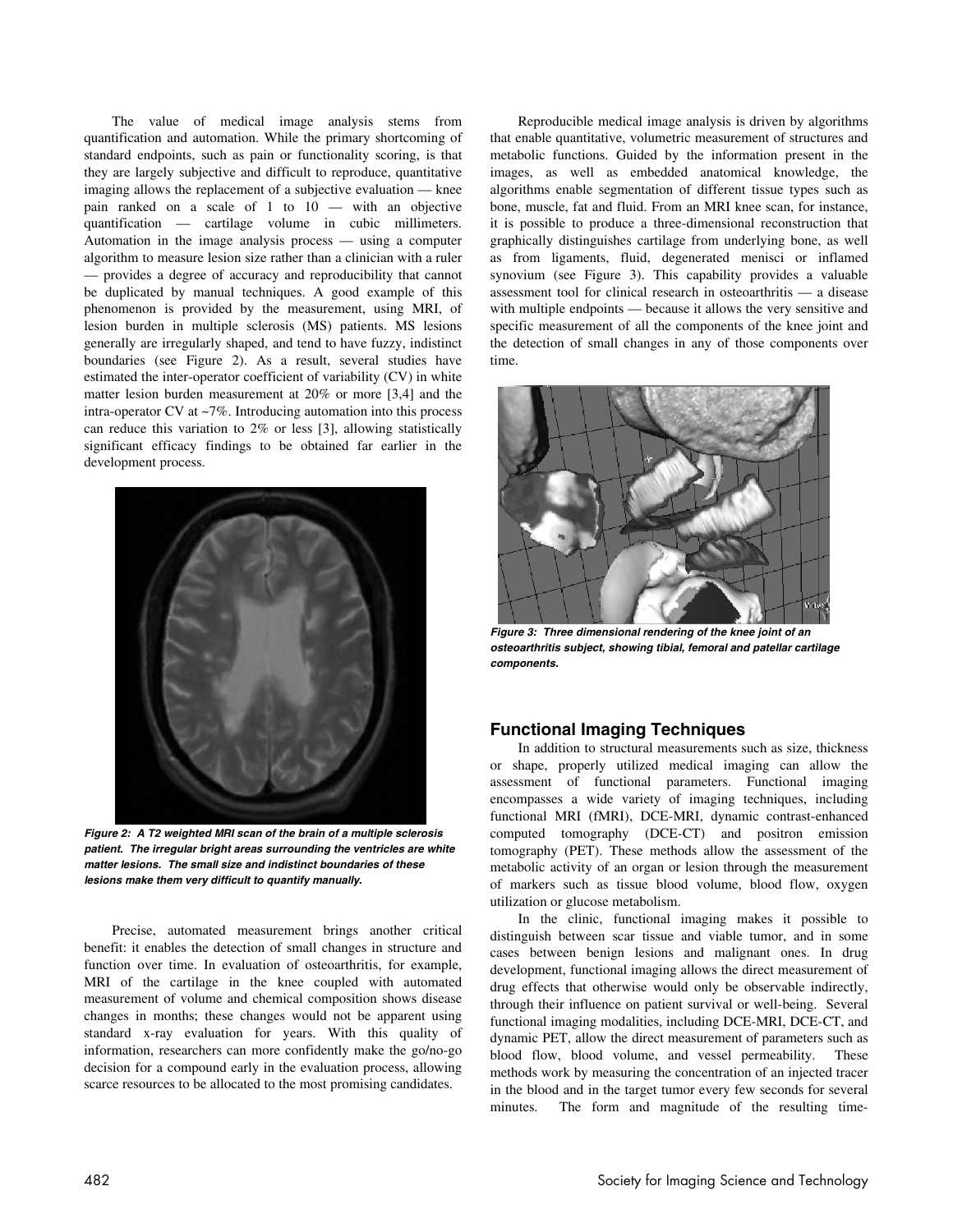The value of medical image analysis stems from quantification and automation. While the primary shortcoming of standard endpoints, such as pain or functionality scoring, is that they are largely subjective and difficult to reproduce, quantitative imaging allows the replacement of a subjective evaluation — knee pain ranked on a scale of 1 to 10 — with an objective quantification — cartilage volume in cubic millimeters. Automation in the image analysis process — using a computer algorithm to measure lesion size rather than a clinician with a ruler — provides a degree of accuracy and reproducibility that cannot be duplicated by manual techniques. A good example of this phenomenon is provided by the measurement, using MRI, of lesion burden in multiple sclerosis (MS) patients. MS lesions generally are irregularly shaped, and tend to have fuzzy, indistinct boundaries (see Figure 2). As a result, several studies have estimated the inter-operator coefficient of variability (CV) in white matter lesion burden measurement at 20% or more [3,4] and the intra-operator CV at ~7%. Introducing automation into this process can reduce this variation to 2% or less [3], allowing statistically significant efficacy findings to be obtained far earlier in the development process.



 **Figure 2: A T2 weighted MRI scan of the brain of a multiple sclerosis patient. The irregular bright areas surrounding the ventricles are white matter lesions. The small size and indistinct boundaries of these lesions make them very difficult to quantify manually.** 

Precise, automated measurement brings another critical benefit: it enables the detection of small changes in structure and function over time. In evaluation of osteoarthritis, for example, MRI of the cartilage in the knee coupled with automated measurement of volume and chemical composition shows disease changes in months; these changes would not be apparent using standard x-ray evaluation for years. With this quality of information, researchers can more confidently make the go/no-go decision for a compound early in the evaluation process, allowing scarce resources to be allocated to the most promising candidates.

Reproducible medical image analysis is driven by algorithms that enable quantitative, volumetric measurement of structures and metabolic functions. Guided by the information present in the images, as well as embedded anatomical knowledge, the algorithms enable segmentation of different tissue types such as bone, muscle, fat and fluid. From an MRI knee scan, for instance, it is possible to produce a three-dimensional reconstruction that graphically distinguishes cartilage from underlying bone, as well as from ligaments, fluid, degenerated menisci or inflamed synovium (see Figure 3). This capability provides a valuable assessment tool for clinical research in osteoarthritis — a disease with multiple endpoints — because it allows the very sensitive and specific measurement of all the components of the knee joint and the detection of small changes in any of those components over time.



**osteoarthritis subject, showing tibial, femoral and patellar cartilage components.** 

# **Functional Imaging Techniques**

In addition to structural measurements such as size, thickness or shape, properly utilized medical imaging can allow the assessment of functional parameters. Functional imaging encompasses a wide variety of imaging techniques, including functional MRI (fMRI), DCE-MRI, dynamic contrast-enhanced computed tomography (DCE-CT) and positron emission tomography (PET). These methods allow the assessment of the metabolic activity of an organ or lesion through the measurement of markers such as tissue blood volume, blood flow, oxygen utilization or glucose metabolism.

In the clinic, functional imaging makes it possible to distinguish between scar tissue and viable tumor, and in some cases between benign lesions and malignant ones. In drug development, functional imaging allows the direct measurement of drug effects that otherwise would only be observable indirectly, through their influence on patient survival or well-being. Several functional imaging modalities, including DCE-MRI, DCE-CT, and dynamic PET, allow the direct measurement of parameters such as blood flow, blood volume, and vessel permeability. These methods work by measuring the concentration of an injected tracer in the blood and in the target tumor every few seconds for several minutes. The form and magnitude of the resulting time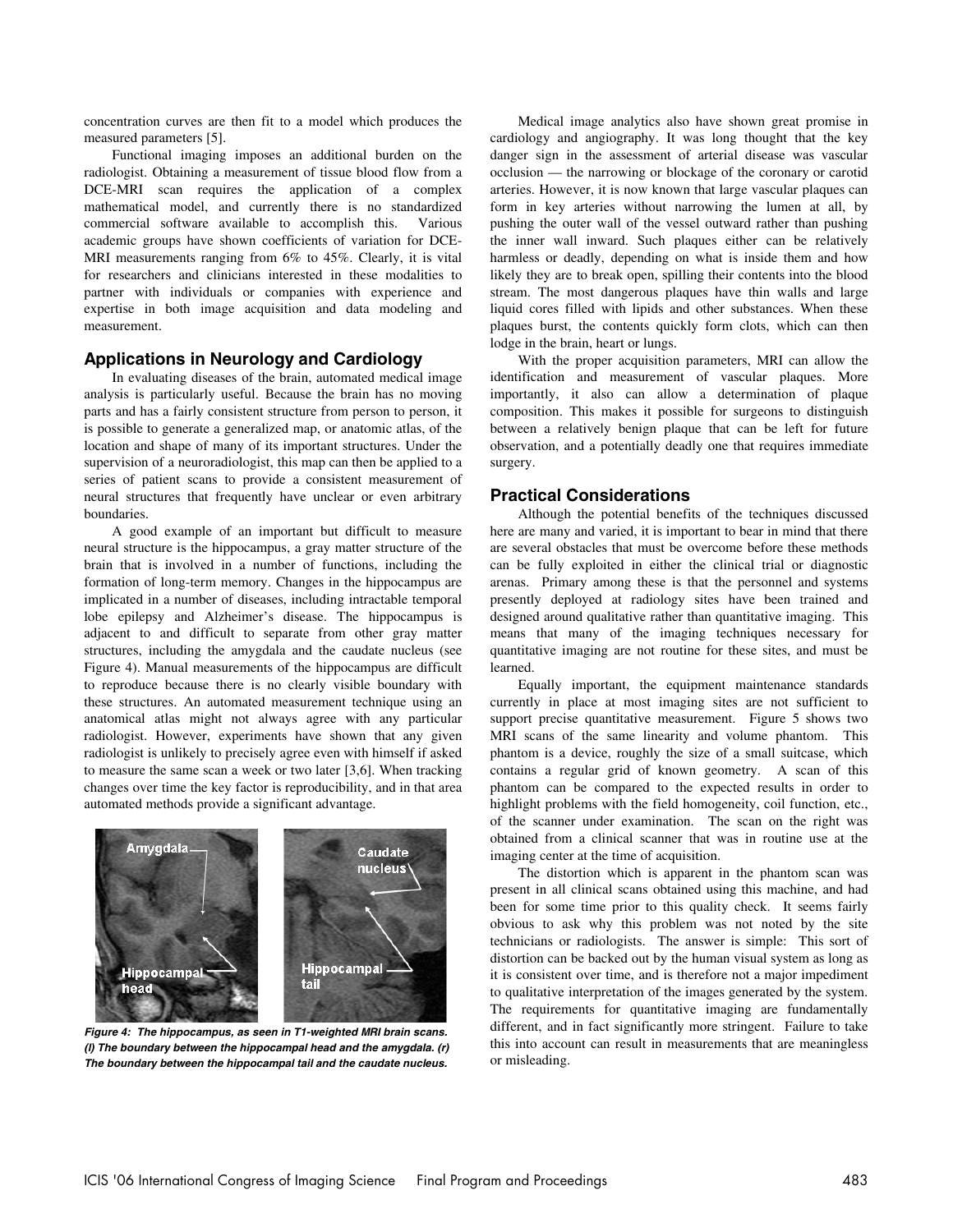concentration curves are then fit to a model which produces the measured parameters [5].

Functional imaging imposes an additional burden on the radiologist. Obtaining a measurement of tissue blood flow from a DCE-MRI scan requires the application of a complex mathematical model, and currently there is no standardized commercial software available to accomplish this. Various academic groups have shown coefficients of variation for DCE-MRI measurements ranging from 6% to 45%. Clearly, it is vital for researchers and clinicians interested in these modalities to partner with individuals or companies with experience and expertise in both image acquisition and data modeling and measurement.

## **Applications in Neurology and Cardiology**

In evaluating diseases of the brain, automated medical image analysis is particularly useful. Because the brain has no moving parts and has a fairly consistent structure from person to person, it is possible to generate a generalized map, or anatomic atlas, of the location and shape of many of its important structures. Under the supervision of a neuroradiologist, this map can then be applied to a series of patient scans to provide a consistent measurement of neural structures that frequently have unclear or even arbitrary boundaries.

A good example of an important but difficult to measure neural structure is the hippocampus, a gray matter structure of the brain that is involved in a number of functions, including the formation of long-term memory. Changes in the hippocampus are implicated in a number of diseases, including intractable temporal lobe epilepsy and Alzheimer's disease. The hippocampus is adjacent to and difficult to separate from other gray matter structures, including the amygdala and the caudate nucleus (see Figure 4). Manual measurements of the hippocampus are difficult to reproduce because there is no clearly visible boundary with these structures. An automated measurement technique using an anatomical atlas might not always agree with any particular radiologist. However, experiments have shown that any given radiologist is unlikely to precisely agree even with himself if asked to measure the same scan a week or two later [3,6]. When tracking changes over time the key factor is reproducibility, and in that area automated methods provide a significant advantage.



**Figure 4: The hippocampus, as seen in T1-weighted MRI brain scans. (l) The boundary between the hippocampal head and the amygdala. (r) The boundary between the hippocampal tail and the caudate nucleus.** 

Medical image analytics also have shown great promise in cardiology and angiography. It was long thought that the key danger sign in the assessment of arterial disease was vascular occlusion — the narrowing or blockage of the coronary or carotid arteries. However, it is now known that large vascular plaques can form in key arteries without narrowing the lumen at all, by pushing the outer wall of the vessel outward rather than pushing the inner wall inward. Such plaques either can be relatively harmless or deadly, depending on what is inside them and how likely they are to break open, spilling their contents into the blood stream. The most dangerous plaques have thin walls and large liquid cores filled with lipids and other substances. When these plaques burst, the contents quickly form clots, which can then lodge in the brain, heart or lungs.

With the proper acquisition parameters, MRI can allow the identification and measurement of vascular plaques. More importantly, it also can allow a determination of plaque composition. This makes it possible for surgeons to distinguish between a relatively benign plaque that can be left for future observation, and a potentially deadly one that requires immediate surgery.

## **Practical Considerations**

Although the potential benefits of the techniques discussed here are many and varied, it is important to bear in mind that there are several obstacles that must be overcome before these methods can be fully exploited in either the clinical trial or diagnostic arenas. Primary among these is that the personnel and systems presently deployed at radiology sites have been trained and designed around qualitative rather than quantitative imaging. This means that many of the imaging techniques necessary for quantitative imaging are not routine for these sites, and must be learned.

Equally important, the equipment maintenance standards currently in place at most imaging sites are not sufficient to support precise quantitative measurement. Figure 5 shows two MRI scans of the same linearity and volume phantom. This phantom is a device, roughly the size of a small suitcase, which contains a regular grid of known geometry. A scan of this phantom can be compared to the expected results in order to highlight problems with the field homogeneity, coil function, etc., of the scanner under examination. The scan on the right was obtained from a clinical scanner that was in routine use at the imaging center at the time of acquisition.

The distortion which is apparent in the phantom scan was present in all clinical scans obtained using this machine, and had been for some time prior to this quality check. It seems fairly obvious to ask why this problem was not noted by the site technicians or radiologists. The answer is simple: This sort of distortion can be backed out by the human visual system as long as it is consistent over time, and is therefore not a major impediment to qualitative interpretation of the images generated by the system. The requirements for quantitative imaging are fundamentally different, and in fact significantly more stringent. Failure to take this into account can result in measurements that are meaningless or misleading.